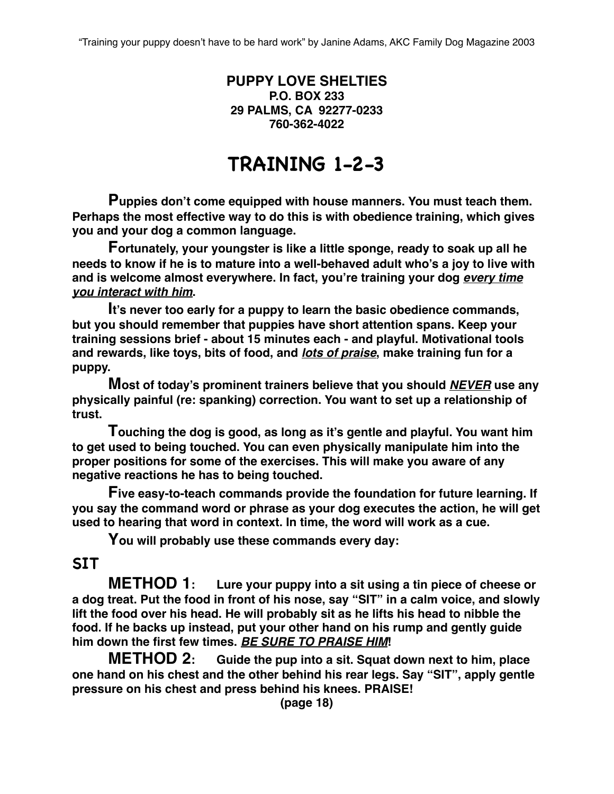**PUPPY LOVE SHELTIES P.O. BOX 233 29 PALMS, CA 92277-0233 760-362-4022**

## **TRAINING 1-2-3**

**Puppies don't come equipped with house manners. You must teach them. Perhaps the most effective way to do this is with obedience training, which gives you and your dog a common language.**

**Fortunately, your youngster is like a little sponge, ready to soak up all he needs to know if he is to mature into a well-behaved adult who's a joy to live with and is welcome almost everywhere. In fact, you're training your dog** *every time you interact with him***.**

**It's never too early for a puppy to learn the basic obedience commands, but you should remember that puppies have short attention spans. Keep your training sessions brief - about 15 minutes each - and playful. Motivational tools and rewards, like toys, bits of food, and** *lots of praise***, make training fun for a puppy.**

**Most of today's prominent trainers believe that you should** *NEVER* **use any physically painful (re: spanking) correction. You want to set up a relationship of trust.**

**Touching the dog is good, as long as it's gentle and playful. You want him to get used to being touched. You can even physically manipulate him into the proper positions for some of the exercises. This will make you aware of any negative reactions he has to being touched.**

**Five easy-to-teach commands provide the foundation for future learning. If you say the command word or phrase as your dog executes the action, he will get used to hearing that word in context. In time, the word will work as a cue.**

**You will probably use these commands every day:**

#### **SIT**

**METHOD 1: Lure your puppy into a sit using a tin piece of cheese or a dog treat. Put the food in front of his nose, say "SIT" in a calm voice, and slowly lift the food over his head. He will probably sit as he lifts his head to nibble the food. If he backs up instead, put your other hand on his rump and gently guide him down the first few times.** *BE SURE TO PRAISE HIM***!**

**METHOD 2: Guide the pup into a sit. Squat down next to him, place one hand on his chest and the other behind his rear legs. Say "SIT", apply gentle pressure on his chest and press behind his knees. PRAISE!**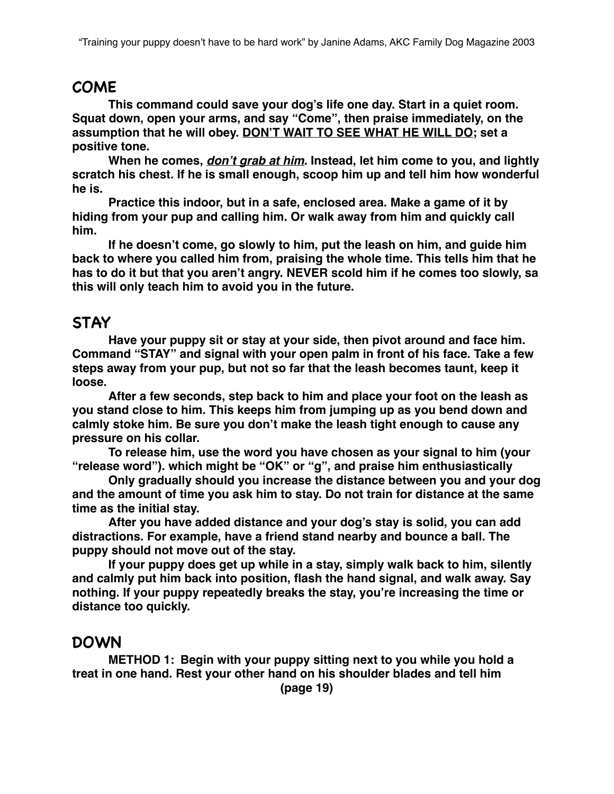#### **COME**

**This command could save your dog's life one day. Start in a quiet room. Squat down, open your arms, and say "Come", then praise immediately, on the assumption that he will obey. DON'T WAIT TO SEE WHAT HE WILL DO; set a positive tone.**

**When he comes,** *don't grab at him***. Instead, let him come to you, and lightly scratch his chest. If he is small enough, scoop him up and tell him how wonderful he is.**

**Practice this indoor, but in a safe, enclosed area. Make a game of it by hiding from your pup and calling him. Or walk away from him and quickly call him.**

**If he doesn't come, go slowly to him, put the leash on him, and guide him back to where you called him from, praising the whole time. This tells him that he has to do it but that you aren't angry. NEVER scold him if he comes too slowly, sa this will only teach him to avoid you in the future.**

#### **STAY**

**Have your puppy sit or stay at your side, then pivot around and face him. Command "STAY" and signal with your open palm in front of his face. Take a few steps away from your pup, but not so far that the leash becomes taunt, keep it loose.**

**After a few seconds, step back to him and place your foot on the leash as you stand close to him. This keeps him from jumping up as you bend down and calmly stoke him. Be sure you don't make the leash tight enough to cause any pressure on his collar.**

**To release him, use the word you have chosen as your signal to him (your "release word"). which might be "OK" or "g", and praise him enthusiastically**

**Only gradually should you increase the distance between you and your dog and the amount of time you ask him to stay. Do not train for distance at the same time as the initial stay.** 

**After you have added distance and your dog's stay is solid, you can add distractions. For example, have a friend stand nearby and bounce a ball. The puppy should not move out of the stay.**

**If your puppy does get up while in a stay, simply walk back to him, silently and calmly put him back into position, flash the hand signal, and walk away. Say nothing. If your puppy repeatedly breaks the stay, you're increasing the time or distance too quickly.**

#### **DOWN**

**METHOD 1: Begin with your puppy sitting next to you while you hold a treat in one hand. Rest your other hand on his shoulder blades and tell him (page 19)**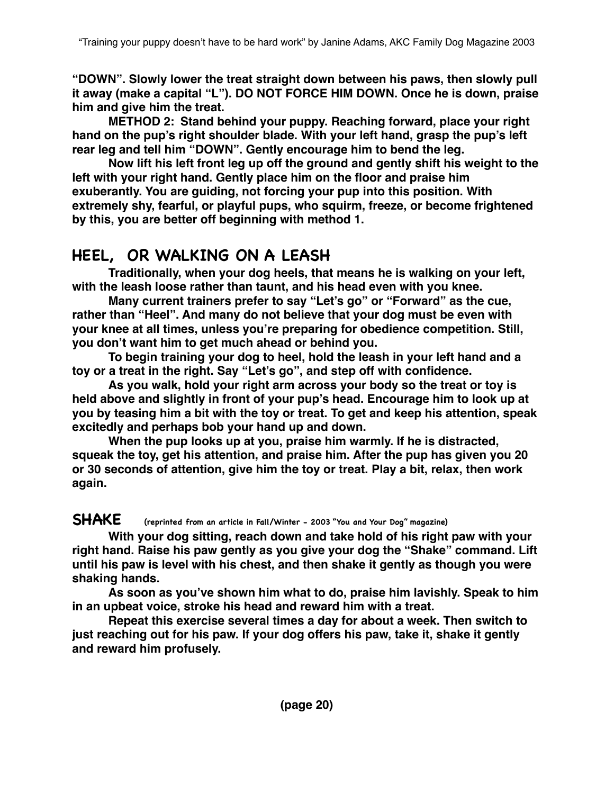**"DOWN". Slowly lower the treat straight down between his paws, then slowly pull it away (make a capital "L"). DO NOT FORCE HIM DOWN. Once he is down, praise him and give him the treat.**

**METHOD 2: Stand behind your puppy. Reaching forward, place your right hand on the pup's right shoulder blade. With your left hand, grasp the pup's left rear leg and tell him "DOWN". Gently encourage him to bend the leg.**

**Now lift his left front leg up off the ground and gently shift his weight to the left with your right hand. Gently place him on the floor and praise him exuberantly. You are guiding, not forcing your pup into this position. With extremely shy, fearful, or playful pups, who squirm, freeze, or become frightened by this, you are better off beginning with method 1.**

### **HEEL, OR WALKING ON A LEASH**

**Traditionally, when your dog heels, that means he is walking on your left, with the leash loose rather than taunt, and his head even with you knee.**

**Many current trainers prefer to say "Let's go" or "Forward" as the cue, rather than "Heel". And many do not believe that your dog must be even with your knee at all times, unless you're preparing for obedience competition. Still, you don't want him to get much ahead or behind you.**

**To begin training your dog to heel, hold the leash in your left hand and a toy or a treat in the right. Say "Let's go", and step off with confidence.**

**As you walk, hold your right arm across your body so the treat or toy is held above and slightly in front of your pup's head. Encourage him to look up at you by teasing him a bit with the toy or treat. To get and keep his attention, speak excitedly and perhaps bob your hand up and down.**

**When the pup looks up at you, praise him warmly. If he is distracted, squeak the toy, get his attention, and praise him. After the pup has given you 20 or 30 seconds of attention, give him the toy or treat. Play a bit, relax, then work again.**

#### **SHAKE (reprinted from an article in Fall/Winter - 2003 "You and Your Dog" magazine)**

**With your dog sitting, reach down and take hold of his right paw with your right hand. Raise his paw gently as you give your dog the "Shake" command. Lift until his paw is level with his chest, and then shake it gently as though you were shaking hands.**

**As soon as you've shown him what to do, praise him lavishly. Speak to him in an upbeat voice, stroke his head and reward him with a treat.**

**Repeat this exercise several times a day for about a week. Then switch to just reaching out for his paw. If your dog offers his paw, take it, shake it gently and reward him profusely.**